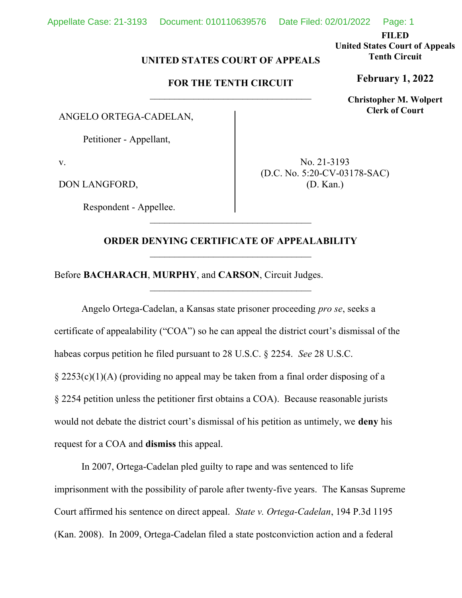FILED

United States Court of Appeals Tenth Circuit

February 1, 2022

Christopher M. Wolpert Clerk of Court

## UNITED STATES COURT OF APPEALS

## FOR THE TENTH CIRCUIT

ANGELO ORTEGA-CADELAN,

Petitioner - Appellant,

v.

DON LANGFORD,

Respondent - Appellee.

No. 21-3193 (D.C. No. 5:20-CV-03178-SAC) (D. Kan.)

## ORDER DENYING CERTIFICATE OF APPEALABILITY

\_\_\_\_\_\_\_\_\_\_\_\_\_\_\_\_\_\_\_\_\_\_\_\_\_\_\_\_\_\_\_\_\_

Before BACHARACH, MURPHY, and CARSON, Circuit Judges.

Angelo Ortega-Cadelan, a Kansas state prisoner proceeding pro se, seeks a certificate of appealability ("COA") so he can appeal the district court's dismissal of the habeas corpus petition he filed pursuant to 28 U.S.C. § 2254. See 28 U.S.C. § 2253(c)(1)(A) (providing no appeal may be taken from a final order disposing of a § 2254 petition unless the petitioner first obtains a COA). Because reasonable jurists would not debate the district court's dismissal of his petition as untimely, we deny his request for a COA and dismiss this appeal.

In 2007, Ortega-Cadelan pled guilty to rape and was sentenced to life imprisonment with the possibility of parole after twenty-five years. The Kansas Supreme Court affirmed his sentence on direct appeal. State v. Ortega-Cadelan, 194 P.3d 1195 (Kan. 2008). In 2009, Ortega-Cadelan filed a state postconviction action and a federal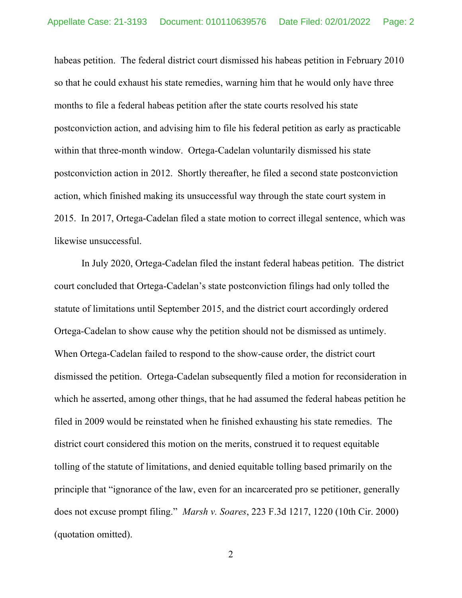habeas petition. The federal district court dismissed his habeas petition in February 2010 so that he could exhaust his state remedies, warning him that he would only have three months to file a federal habeas petition after the state courts resolved his state postconviction action, and advising him to file his federal petition as early as practicable within that three-month window. Ortega-Cadelan voluntarily dismissed his state postconviction action in 2012. Shortly thereafter, he filed a second state postconviction action, which finished making its unsuccessful way through the state court system in 2015. In 2017, Ortega-Cadelan filed a state motion to correct illegal sentence, which was likewise unsuccessful.

In July 2020, Ortega-Cadelan filed the instant federal habeas petition. The district court concluded that Ortega-Cadelan's state postconviction filings had only tolled the statute of limitations until September 2015, and the district court accordingly ordered Ortega-Cadelan to show cause why the petition should not be dismissed as untimely. When Ortega-Cadelan failed to respond to the show-cause order, the district court dismissed the petition. Ortega-Cadelan subsequently filed a motion for reconsideration in which he asserted, among other things, that he had assumed the federal habeas petition he filed in 2009 would be reinstated when he finished exhausting his state remedies. The district court considered this motion on the merits, construed it to request equitable tolling of the statute of limitations, and denied equitable tolling based primarily on the principle that "ignorance of the law, even for an incarcerated pro se petitioner, generally does not excuse prompt filing." Marsh v. Soares, 223 F.3d 1217, 1220 (10th Cir. 2000) (quotation omitted).

2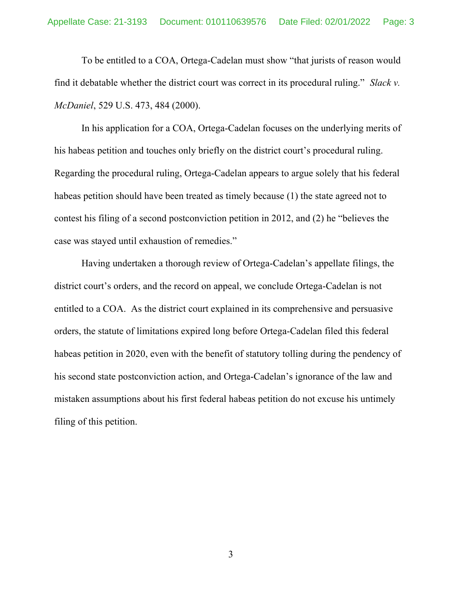To be entitled to a COA, Ortega-Cadelan must show "that jurists of reason would find it debatable whether the district court was correct in its procedural ruling." Slack  $v$ . McDaniel, 529 U.S. 473, 484 (2000).

In his application for a COA, Ortega-Cadelan focuses on the underlying merits of his habeas petition and touches only briefly on the district court's procedural ruling. Regarding the procedural ruling, Ortega-Cadelan appears to argue solely that his federal habeas petition should have been treated as timely because (1) the state agreed not to contest his filing of a second postconviction petition in 2012, and (2) he "believes the case was stayed until exhaustion of remedies."

Having undertaken a thorough review of Ortega-Cadelan's appellate filings, the district court's orders, and the record on appeal, we conclude Ortega-Cadelan is not entitled to a COA. As the district court explained in its comprehensive and persuasive orders, the statute of limitations expired long before Ortega-Cadelan filed this federal habeas petition in 2020, even with the benefit of statutory tolling during the pendency of his second state postconviction action, and Ortega-Cadelan's ignorance of the law and mistaken assumptions about his first federal habeas petition do not excuse his untimely filing of this petition.

3